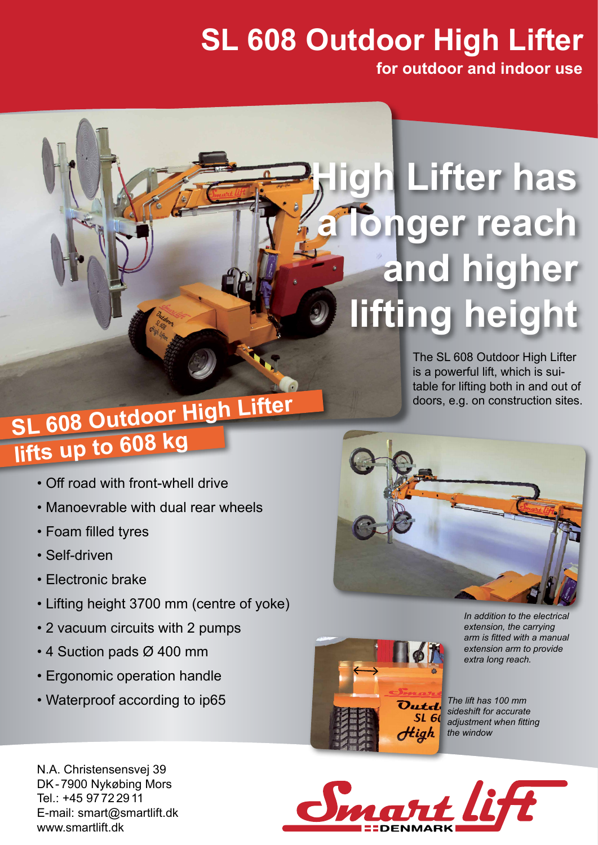## **SL 608 Outdoor High Lifter**

**for outdoor and indoor use**

## **High Lifter has longer reach and higher lifting height**

The SL 608 Outdoor High Lifter is a powerful lift, which is suitable for lifting both in and out of doors, e.g. on construction sites.

## **SL 608 Outdoor High Lifter lifts up to 608 kg**

- Off road with front-whell drive
- Manoevrable with dual rear wheels
- Foam filled tyres
- Self-driven
- Electronic brake
- Lifting height 3700 mm (centre of yoke)
- 2 vacuum circuits with 2 pumps
- 4 Suction pads Ø 400 mm
- Ergonomic operation handle
- Waterproof according to ip65





*In addition to the electrical extension, the carrying arm is fitted with a manual extension arm to provide extra long reach.*

*The lift has 100 mm sideshift for accurate adjustment when fitting the window*



N.A. Christensensvej 39 DK-7900 Nykøbing Mors Tel.: +45 9772 2911 E-mail: smart@smartlift.dk www.smartlift.dk